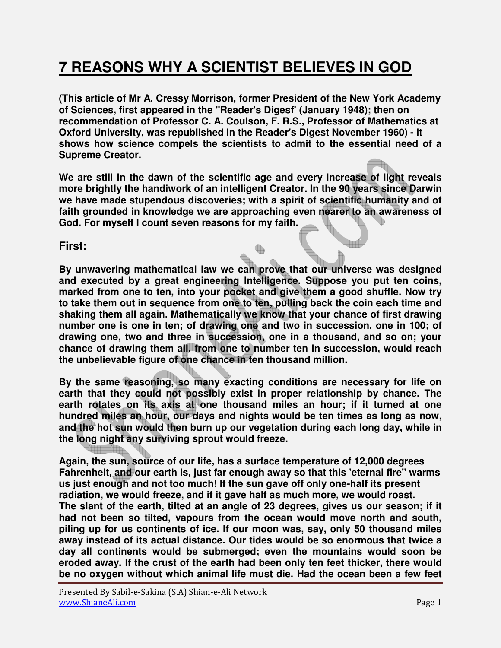# **7 REASONS WHY A SCIENTIST BELIEVES IN GOD**

**(This article of Mr A. Cressy Morrison, former President of the New York Academy of Sciences, first appeared in the "Reader's Digesf' (January 1948); then on recommendation of Professor C. A. Coulson, F. R.S., Professor of Mathematics at Oxford University, was republished in the Reader's Digest November 1960) - It shows how science compels the scientists to admit to the essential need of a Supreme Creator.** 

**We are still in the dawn of the scientific age and every increase of light reveals more brightly the handiwork of an intelligent Creator. In the 90 years since Darwin we have made stupendous discoveries; with a spirit of scientific humanity and of faith grounded in knowledge we are approaching even nearer to an awareness of God. For myself I count seven reasons for my faith.**

#### **First:**

**By unwavering mathematical law we can prove that our universe was designed and executed by a great engineering Intelligence. Suppose you put ten coins, marked from one to ten, into your pocket and give them a good shuffle. Now try to take them out in sequence from one to ten, pulling back the coin each time and shaking them all again. Mathematically we know that your chance of first drawing number one is one in ten; of drawing one and two in succession, one in 100; of drawing one, two and three in succession, one in a thousand, and so on; your chance of drawing them all, from one to number ten in succession, would reach the unbelievable figure of one chance in ten thousand million.** 

**By the same reasoning, so many exacting conditions are necessary for life on earth that they could not possibly exist in proper relationship by chance. The earth rotates on its axis at one thousand miles an hour; if it turned at one hundred miles an hour, our days and nights would be ten times as long as now, and the hot sun would then burn up our vegetation during each long day, while in the long night any surviving sprout would freeze.** 

**Again, the sun, source of our life, has a surface temperature of 12,000 degrees Fahrenheit, and our earth is, just far enough away so that this 'eternal fire" warms us just enough and not too much! If the sun gave off only one-half its present radiation, we would freeze, and if it gave half as much more, we would roast.** 

**The slant of the earth, tilted at an angle of 23 degrees, gives us our season; if it had not been so tilted, vapours from the ocean would move north and south, piling up for us continents of ice. If our moon was, say, only 50 thousand miles away instead of its actual distance. Our tides would be so enormous that twice a day all continents would be submerged; even the mountains would soon be eroded away. If the crust of the earth had been only ten feet thicker, there would be no oxygen without which animal life must die. Had the ocean been a few feet**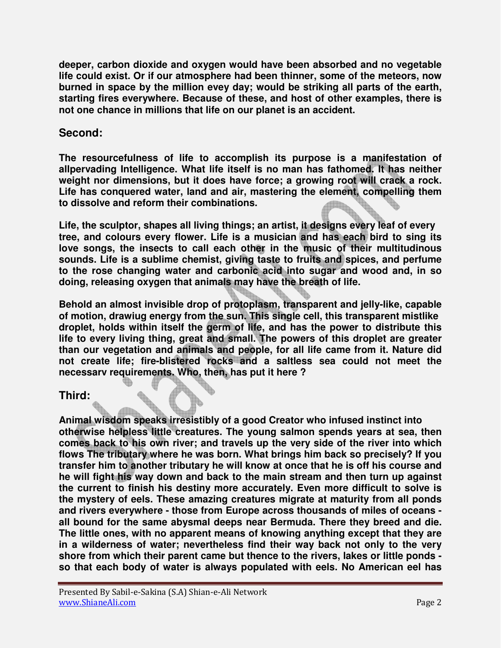**deeper, carbon dioxide and oxygen would have been absorbed and no vegetable life could exist. Or if our atmosphere had been thinner, some of the meteors, now burned in space by the million evey day; would be striking all parts of the earth, starting fires everywhere. Because of these, and host of other examples, there is not one chance in millions that life on our planet is an accident.** 

#### **Second:**

**The resourcefulness of life to accomplish its purpose is a manifestation of allpervading Intelligence. What life itself is no man has fathomed. It has neither weight nor dimensions, but it does have force; a growing root will crack a rock. Life has conquered water, land and air, mastering the element, compelling them to dissolve and reform their combinations.** 

**Life, the sculptor, shapes all living things; an artist, it designs every leaf of every tree, and colours every flower. Life is a musician and has each bird to sing its love songs, the insects to call each other in the music of their multitudinous sounds. Life is a sublime chemist, giving taste to fruits and spices, and perfume to the rose changing water and carbonic acid into sugar and wood and, in so doing, releasing oxygen that animals may have the breath of life.** 

**Behold an almost invisible drop of protoplasm, transparent and jelly-like, capable of motion, drawiug energy from the sun. This single cell, this transparent mistlike droplet, holds within itself the germ of life, and has the power to distribute this life to every living thing, great and small. The powers of this droplet are greater than our vegetation and animals and people, for all life came from it. Nature did not create life; fire-blistered rocks and a saltless sea could not meet the necessarv requirements. Who, then, has put it here ?** 

## **Third:**

**Animal wisdom speaks irresistibly of a good Creator who infused instinct into otherwise helpless little creatures. The young salmon spends years at sea, then comes back to his own river; and travels up the very side of the river into which flows The tributary where he was born. What brings him back so precisely? If you transfer him to another tributary he will know at once that he is off his course and he will fight his way down and back to the main stream and then turn up against the current to finish his destiny more accurately. Even more difficult to solve is the mystery of eels. These amazing creatures migrate at maturity from all ponds and rivers everywhere - those from Europe across thousands of miles of oceans all bound for the same abysmal deeps near Bermuda. There they breed and die. The little ones, with no apparent means of knowing anything except that they are in a wilderness of water; nevertheless find their way back not only to the very shore from which their parent came but thence to the rivers, lakes or little ponds so that each body of water is always populated with eels. No American eel has**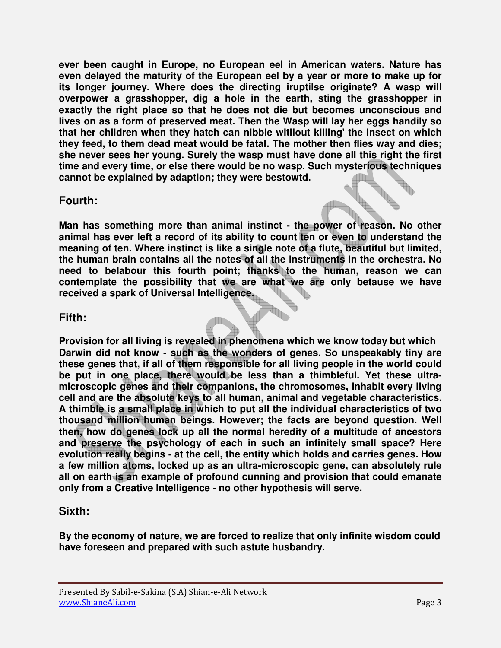**ever been caught in Europe, no European eel in American waters. Nature has even delayed the maturity of the European eel by a year or more to make up for its longer journey. Where does the directing iruptilse originate? A wasp will overpower a grasshopper, dig a hole in the earth, sting the grasshopper in exactly the right place so that he does not die but becomes unconscious and lives on as a form of preserved meat. Then the Wasp will lay her eggs handily so that her children when they hatch can nibble witliout killing' the insect on which they feed, to them dead meat would be fatal. The mother then flies way and dies; she never sees her young. Surely the wasp must have done all this right the first time and every time, or else there would be no wasp. Such mysterious techniques cannot be explained by adaption; they were bestowtd.** 

## **Fourth:**

**Man has something more than animal instinct - the power of reason. No other animal has ever left a record of its ability to count ten or even to understand the meaning of ten. Where instinct is like a single note of a flute, beautiful but limited, the human brain contains all the notes of all the instruments in the orchestra. No need to belabour this fourth point; thanks to the human, reason we can contemplate the possibility that we are what we are only betause we have received a spark of Universal Intelligence.** 

# **Fifth:**

**Provision for all living is revealed in phenomena which we know today but which Darwin did not know - such as the wonders of genes. So unspeakably tiny are these genes that, if all of them responsible for all living people in the world could be put in one place, there would be less than a thimbleful. Yet these ultramicroscopic genes and their companions, the chromosomes, inhabit every living cell and are the absolute keys to all human, animal and vegetable characteristics. A thimble is a small place in which to put all the individual characteristics of two thousand million human beings. However; the facts are beyond question. Well then, how do genes lock up all the normal heredity of a multitude of ancestors and preserve the psychology of each in such an infinitely small space? Here evolution really begins - at the cell, the entity which holds and carries genes. How a few million atoms, locked up as an ultra-microscopic gene, can absolutely rule all on earth is an example of profound cunning and provision that could emanate only from a Creative Intelligence - no other hypothesis will serve.** 

# **Sixth:**

**By the economy of nature, we are forced to realize that only infinite wisdom could have foreseen and prepared with such astute husbandry.**